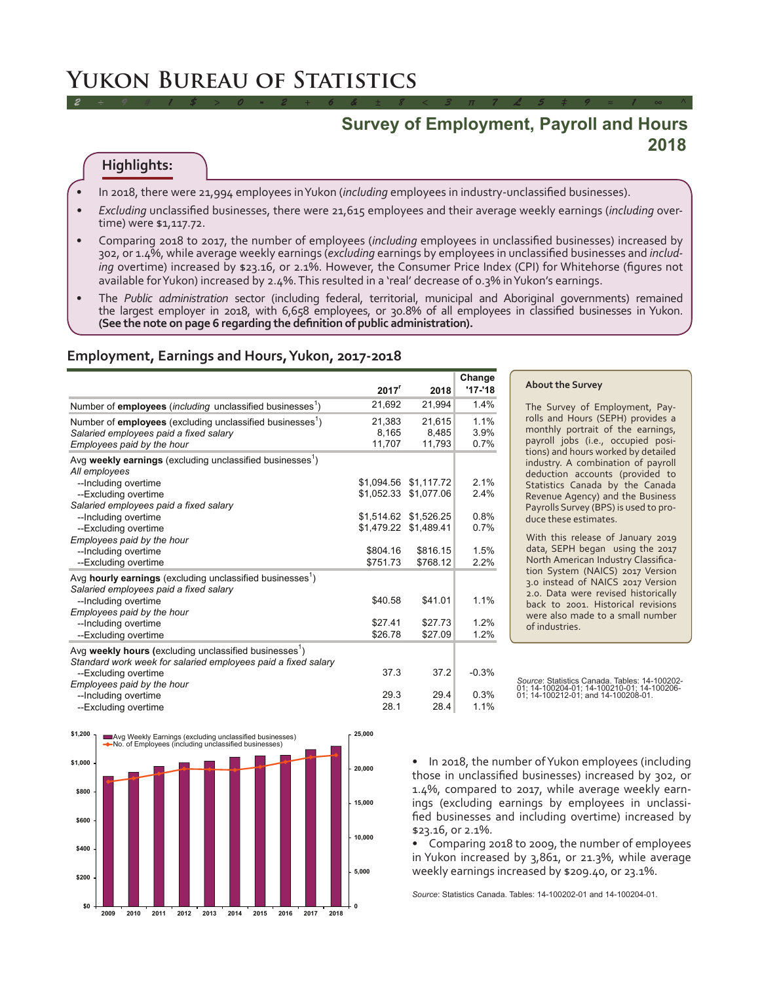# **Yukon Bureau of Statistics**

# **Survey of Employment, Payroll and Hours 2018**

# **Highlights:**

- • In 2018, there were 21,994 employees in Yukon (*including* employees in industry-unclassified businesses).
- *Excluding* unclassified businesses, there were 21,615 employees and their average weekly earnings (*including* overtime) were \$1,117.72.

*2 ÷ 9 # 1 \$ > 0 - 2 + 6 & ± 8 < 3 π 7 £ 5 ‡ 9 ≈ 1 ∞ ^*

- • Comparing 2018 to 2017, the number of employees (*including* employees in unclassified businesses) increased by 302, or 1.4%, while average weekly earnings (*excluding* earnings by employees in unclassified businesses and *including* overtime) increased by \$23.16, or 2.1%. However, the Consumer Price Index (CPI) for Whitehorse (figures not available for Yukon) increased by 2.4%. This resulted in a 'real' decrease of 0.3% in Yukon's earnings.
- The Public administration sector (including federal, territorial, municipal and Aboriginal governments) remained the largest employer in 2018, with 6,658 employees, or 30.8% of all employees in classified businesses in Yukon. **(See the note on page 6 regarding the definition of public administration).**

#### **Employment, Earnings and Hours, Yukon, 2017-2018**

|                                                                                                                 | 2017 <sup>r</sup> | 2018                  | Change<br>$'17 - 18$ |
|-----------------------------------------------------------------------------------------------------------------|-------------------|-----------------------|----------------------|
|                                                                                                                 |                   |                       |                      |
| Number of employees (including unclassified businesses <sup>1</sup> )                                           | 21,692            | 21,994                | 1.4%                 |
| Number of employees (excluding unclassified businesses <sup>1</sup> )                                           | 21.383            | 21.615                | 1.1%                 |
| Salaried employees paid a fixed salary                                                                          | 8,165             | 8,485                 | 3.9%                 |
| Employees paid by the hour                                                                                      | 11,707            | 11,793                | 0.7%                 |
| Avg weekly earnings (excluding unclassified businesses <sup>1</sup> )<br>All employees                          |                   |                       |                      |
| --Including overtime                                                                                            |                   | \$1.094.56 \$1.117.72 | 2.1%                 |
| --Excluding overtime                                                                                            |                   | \$1,052.33 \$1,077.06 | 2.4%                 |
| Salaried employees paid a fixed salary                                                                          |                   |                       |                      |
| --Including overtime                                                                                            |                   | \$1,514.62 \$1,526.25 | 0.8%                 |
| --Excluding overtime                                                                                            |                   | \$1,479.22 \$1,489.41 | 0.7%                 |
| Employees paid by the hour                                                                                      |                   |                       |                      |
| --Including overtime                                                                                            | \$804.16          | \$816.15              | 1.5%                 |
| --Excluding overtime                                                                                            | \$751.73          | \$768.12              | 2.2%                 |
| Avg hourly earnings (excluding unclassified businesses <sup>1</sup> )<br>Salaried employees paid a fixed salary |                   |                       |                      |
| --Including overtime                                                                                            | \$40.58           | \$41.01               | 1.1%                 |
| Employees paid by the hour                                                                                      |                   |                       |                      |
| --Including overtime                                                                                            | \$27.41           | \$27.73               | 1.2%                 |
| --Excluding overtime                                                                                            | \$26.78           | \$27.09               | 1.2%                 |
| Avg weekly hours (excluding unclassified businesses <sup>1</sup> )                                              |                   |                       |                      |
| Standard work week for salaried employees paid a fixed salary                                                   |                   |                       |                      |
| --Excluding overtime                                                                                            | 37.3              | 37.2                  | $-0.3%$              |
| Employees paid by the hour                                                                                      |                   |                       |                      |
| --Including overtime                                                                                            | 29.3              | 29.4                  | 0.3%                 |
| --Excluding overtime                                                                                            | 28.1              | 28.4                  | 1.1%                 |

#### **About the Survey**

The Survey of Employment, Payrolls and Hours (SEPH) provides a monthly portrait of the earnings, payroll jobs (i.e., occupied positions) and hours worked by detailed industry. A combination of payroll deduction accounts (provided to Statistics Canada by the Canada Revenue Agency) and the Business Payrolls Survey (BPS) is used to produce these estimates.

With this release of January 2019 data, SEPH began using the 2017 North American Industry Classification System (NAICS) 2017 Version 3.0 instead of NAICS 2017 Version 2.0. Data were revised historically back to 2001. Historical revisions were also made to a small number of industries.

• In 2018, the number of Yukon employees (including those in unclassified businesses) increased by 302, or 1.4%, compared to 2017, while average weekly earnings (excluding earnings by employees in unclassified businesses and including overtime) increased by \$23.16, or 2.1%.

• Comparing 2018 to 2009, the number of employees in Yukon increased by 3,861, or 21.3%, while average weekly earnings increased by \$209.40, or 23.1%.

*Source*: Statistics Canada. Tables: 14-100202-01 and 14-100204-01.



*Source*: Statistics Canada. Tables: 14-100202- 01; 14-100204-01; 14-100210-01; 14-100206- 01; 14-100212-01; and 14-100208-01.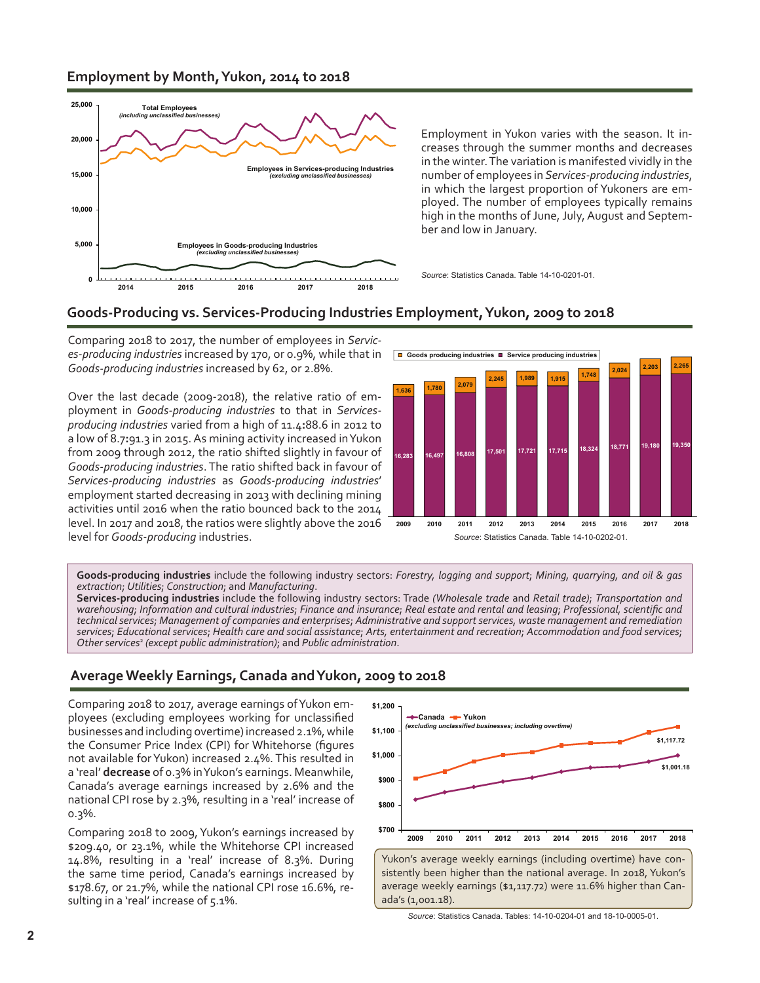### **Employment by Month, Yukon, 2014 to 2018**



Employment in Yukon varies with the season. It increases through the summer months and decreases in the winter. The variation is manifested vividly in the number of employees in *Services-producing industries*, in which the largest proportion of Yukoners are employed. The number of employees typically remains high in the months of June, July, August and September and low in January.

*Source*: Statistics Canada. Table 14-10-0201-01.

### **Goods-Producing vs. Services-Producing Industries Employment, Yukon, 2009 to 2018**

Comparing 2018 to 2017, the number of employees in *Services-producing industries* increased by 170, or 0.9%, while that in *Goods-producing industries* increased by 62, or 2.8%.

Over the last decade (2009-2018), the relative ratio of employment in *Goods-producing industries* to that in *Servicesproducing industries* varied from a high of 11.4**:**88.6 in 2012 to a low of 8.7**:**91.3 in 2015. As mining activity increased inYukon from 2009 through 2012, the ratio shifted slightly in favour of *Goods-producing industries*. The ratio shifted back in favour of *Services-producing industries* as *Goods-producing industries*' employment started decreasing in 2013 with declining mining activities until 2016 when the ratio bounced back to the 2014 level. In 2017 and 2018, the ratios were slightly above the 2016 level for *Goods-producing* industries. *Source*: Statistics Canada. Table 14-10-0202-01.



**Goods-producing industries** include the following industry sectors: *Forestry, logging and support*; *Mining, quarrying, and oil & gas extraction*; *Utilities*; *Construction*; and *Manufacturing*.

**Services-producing industries** include the following industry sectors: Trade *(Wholesale trade* and *Retail trade)*; *Transportation and* warehousing; Information and cultural industries; Finance and insurance; Real estate and rental and leasing; Professional, scientific and *technicalservices*; *Management of companies and enterprises*; *Administrative and supportservices, waste management and remediation* services; Educational services; Health care and social assistance; Arts, entertainment and recreation; Accommodation and food services; *Other services*<sup>2</sup> *(except public administration)*; and *Public administration*.

# **Average Weekly Earnings, Canada and Yukon, 2009 to 2018**

Comparing 2018 to 2017, average earnings of Yukon employees (excluding employees working for unclassified businesses and including overtime) increased 2.1%, while the Consumer Price Index (CPI) for Whitehorse (figures not available for Yukon) increased 2.4%. This resulted in a 'real' **decrease** of 0.3% in Yukon's earnings. Meanwhile, Canada's average earnings increased by 2.6% and the national CPI rose by 2.3%, resulting in a 'real' increase of 0.3%.

Comparing 2018 to 2009, Yukon's earnings increased by \$209.40, or 23.1%, while the Whitehorse CPI increased 14.8%, resulting in a 'real' increase of 8.3%. During the same time period, Canada's earnings increased by \$178.67, or 21.7%, while the national CPI rose 16.6%, resulting in a 'real' increase of 5.1%.



ada's (1,001.18).

*Source*: Statistics Canada. Tables: 14-10-0204-01 and 18-10-0005-01.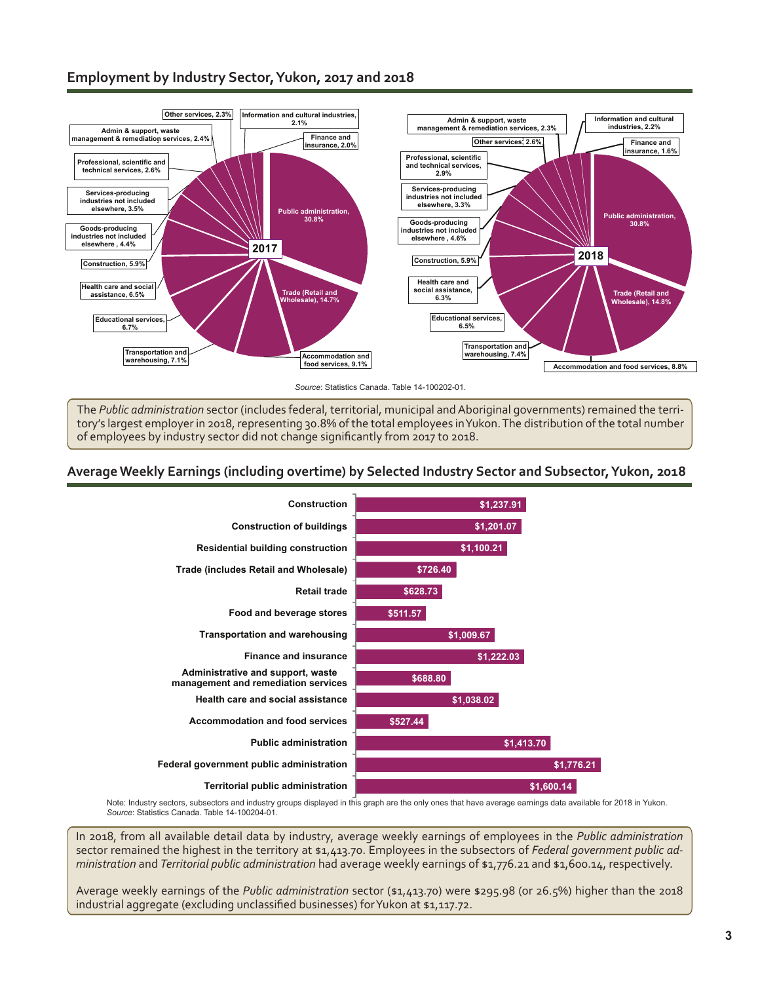# **Employment by Industry Sector, Yukon, 2017 and 2018**



*Source*: Statistics Canada. Table 14-100202-01.

The *Public administration* sector (includes federal, territorial, municipal and Aboriginal governments) remained the territory's largest employer in 2018, representing 30.8% of the total employees in Yukon. The distribution of the total number of employees by industry sector did not change significantly from 2017 to 2018.

### **Average Weekly Earnings (including overtime) by Selected Industry Sector and Subsector, Yukon, 2018**



Note: Industry sectors, subsectors and industry groups displayed in this graph are the only ones that have average earnings data available for 2018 in Yukon. *Source*: Statistics Canada. Table 14-100204-01.

In 2018, from all available detail data by industry, average weekly earnings of employees in the *Public administration* sector remained the highest in the territory at \$1,413.70. Employees in the subsectors of *Federal government public administration* and *Territorial public administration* had average weekly earnings of \$1,776.21 and \$1,600.14, respectively.

Average weekly earnings of the *Public administration* sector (\$1,413.70) were \$295.98 (or 26.5%) higher than the 2018 industrial aggregate (excluding unclassified businesses) for Yukon at \$1,117.72.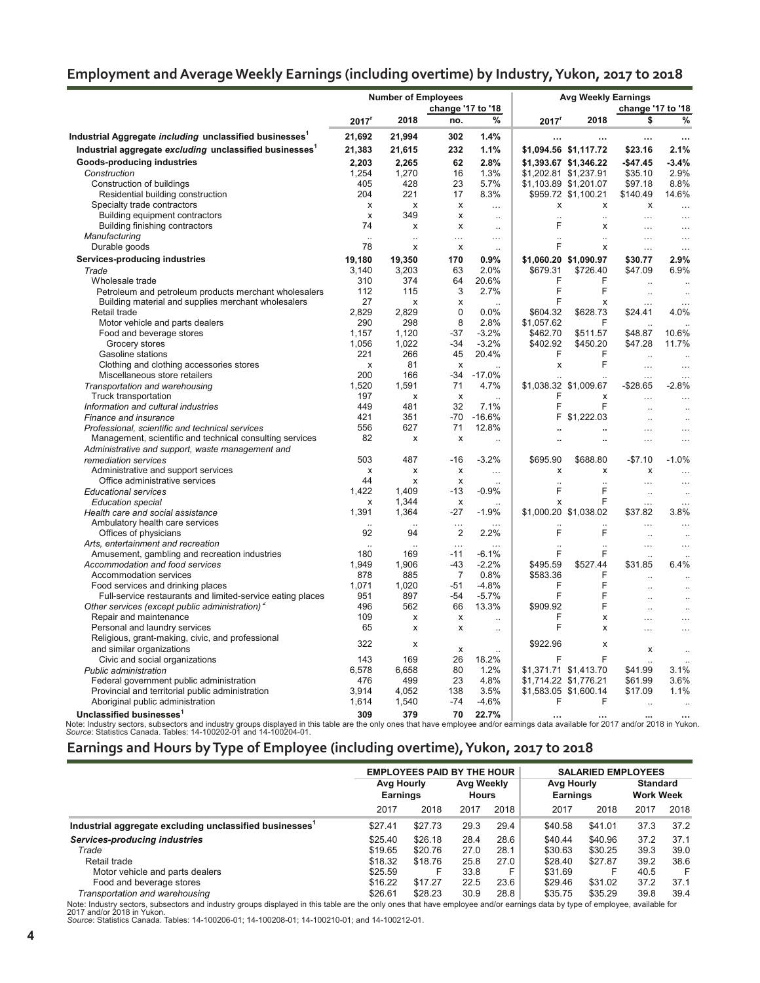|  |  | Employment and Average Weekly Earnings (including overtime) by Industry, Yukon, 2017 to 2018 |
|--|--|----------------------------------------------------------------------------------------------|
|  |  |                                                                                              |

|                                                                                                          |                      | <b>Number of Employees</b> |                           |                      | <b>Avg Weekly Earnings</b> |                       |                                  |                      |  |
|----------------------------------------------------------------------------------------------------------|----------------------|----------------------------|---------------------------|----------------------|----------------------------|-----------------------|----------------------------------|----------------------|--|
|                                                                                                          | change '17 to '18    |                            |                           |                      | change '17 to '18          |                       |                                  |                      |  |
|                                                                                                          | 2017 <sup>r</sup>    | 2018                       | no.                       | %                    | 2017                       | 2018                  | \$                               | %                    |  |
| Industrial Aggregate <i>including</i> <code>unclassified</code> businesses $^{\text{\tiny{\textsf{1}}}}$ | 21,692               | 21,994                     | 302                       | 1.4%                 |                            |                       |                                  |                      |  |
| Industrial aggregate excluding unclassified businesses <sup>1</sup>                                      | 21,383               | 21,615                     | 232                       | 1.1%                 |                            | \$1,094.56 \$1,117.72 | \$23.16                          | 2.1%                 |  |
| Goods-producing industries                                                                               | 2,203                | 2,265                      | 62                        | 2.8%                 |                            | \$1,393.67 \$1,346.22 | $-$47.45$                        | $-3.4%$              |  |
| Construction                                                                                             | 1,254                | 1,270                      | 16                        | 1.3%                 | \$1,202.81 \$1,237.91      |                       | \$35.10                          | 2.9%                 |  |
| Construction of buildings                                                                                | 405                  | 428                        | 23                        | 5.7%                 |                            | \$1,103.89 \$1,201.07 | \$97.18                          | 8.8%                 |  |
| Residential building construction                                                                        | 204                  | 221                        | 17                        | 8.3%                 |                            | \$959.72 \$1,100.21   | \$140.49                         | 14.6%                |  |
| Specialty trade contractors                                                                              | x                    | x                          | x                         | $\ddotsc$            | x                          | x                     | x                                | $\ddotsc$            |  |
| Building equipment contractors                                                                           | $\pmb{\times}$       | 349                        | x                         | $\ddotsc$            | $\ddot{\phantom{a}}$       | $\ddot{\phantom{a}}$  | .                                | $\ddotsc$            |  |
| Building finishing contractors                                                                           | 74                   | X                          | x                         | $\ddot{\phantom{a}}$ | F                          | x                     | $\ddotsc$                        | $\ddotsc$            |  |
| Manufacturing                                                                                            | $\ddot{\phantom{a}}$ | $\ddot{\phantom{a}}$       | $\ddotsc$                 | $\cdots$             |                            | $\ddot{\phantom{a}}$  | $\ldots$                         | $\ldots$             |  |
| Durable goods                                                                                            | 78                   | x                          | x                         | $\ddot{\phantom{a}}$ | F                          | x                     | $\cdots$                         | $\ldots$             |  |
| Services-producing industries                                                                            | 19,180               | 19,350                     | 170                       | 0.9%                 |                            | \$1,060.20 \$1,090.97 | \$30.77                          | 2.9%                 |  |
| Trade                                                                                                    | 3,140                | 3,203                      | 63                        | 2.0%                 | \$679.31                   | \$726.40              | \$47.09                          | 6.9%                 |  |
| Wholesale trade                                                                                          | 310                  | 374                        | 64                        | 20.6%                | F                          | F                     | $\ddotsc$                        | $\ddot{\phantom{a}}$ |  |
| Petroleum and petroleum products merchant wholesalers                                                    | 112                  | 115                        | 3                         | 2.7%                 | F                          | F                     | $\ddot{\phantom{a}}$             | $\ddotsc$            |  |
| Building material and supplies merchant wholesalers                                                      | 27                   | x                          | x                         | $\sim$               | F                          | x                     | $\cdots$                         | $\cdots$             |  |
| Retail trade                                                                                             | 2,829                | 2,829                      | $\Omega$                  | 0.0%                 | \$604.32                   | \$628.73              | \$24.41                          | 4.0%                 |  |
| Motor vehicle and parts dealers                                                                          | 290                  | 298                        | 8                         | 2.8%                 | \$1,057.62                 | F                     |                                  |                      |  |
| Food and beverage stores                                                                                 | 1.157                | 1,120                      | $-37$                     | $-3.2%$              | \$462.70                   | \$511.57              | \$48.87                          | 10.6%                |  |
| Grocery stores                                                                                           | 1,056                | 1,022                      | $-34$                     | $-3.2%$              | \$402.92                   | \$450.20              | \$47.28                          | 11.7%                |  |
| Gasoline stations                                                                                        | 221                  | 266                        | 45                        | 20.4%                | F                          | F                     | $\ddotsc$                        |                      |  |
| Clothing and clothing accessories stores                                                                 | X                    | 81                         | X                         |                      | X                          | F                     | $\cdots$                         | $\ddotsc$            |  |
| Miscellaneous store retailers                                                                            | 200                  | 166                        | $-34$                     | $-17.0%$             |                            |                       |                                  |                      |  |
| Transportation and warehousing                                                                           | 1,520                | 1,591                      | 71                        | 4.7%                 |                            | \$1,038.32 \$1,009.67 | $-$28.65$                        | $-2.8%$              |  |
| Truck transportation                                                                                     | 197                  | x                          | $\boldsymbol{\mathsf{x}}$ |                      | F                          | X                     | $\ddotsc$                        |                      |  |
| Information and cultural industries                                                                      | 449                  | 481                        | 32                        | 7.1%                 | F                          | F                     | $\ddot{\phantom{a}}$             | $\ddot{\phantom{a}}$ |  |
| Finance and insurance                                                                                    | 421                  | 351                        | -70                       | $-16.6%$             | F.                         | \$1,222.03            | $\ddot{\phantom{a}}$             | $\ddot{\phantom{a}}$ |  |
| Professional, scientific and technical services                                                          | 556                  | 627                        | 71                        | 12.8%                |                            | ä,                    | .                                |                      |  |
| Management, scientific and technical consulting services                                                 | 82                   | x                          | $\pmb{\times}$            |                      |                            | Ω,                    | .                                |                      |  |
| Administrative and support, waste management and                                                         |                      |                            |                           |                      |                            |                       |                                  |                      |  |
| remediation services                                                                                     | 503                  | 487                        | $-16$                     | $-3.2%$              | \$695.90                   | \$688.80              | $-$7.10$                         | $-1.0%$              |  |
| Administrative and support services                                                                      | x                    | х                          | х                         | $\ddotsc$            | x                          | x                     | x                                | $\ddotsc$            |  |
| Office administrative services                                                                           | 44                   | x                          | x                         |                      | $\ddotsc$                  | $\ddot{\phantom{a}}$  | $\cdots$                         | $\cdots$             |  |
| <b>Educational services</b>                                                                              | 1,422                | 1,409                      | $-13$                     | $-0.9%$              | F                          | F                     | $\ddot{\phantom{a}}$             | $\ddot{\phantom{a}}$ |  |
| <b>Education special</b>                                                                                 | x                    | 1,344                      | x                         |                      | x                          | F                     | $\cdots$                         | $\ddotsc$            |  |
| Health care and social assistance                                                                        | 1,391                | 1,364                      | $-27$                     | $-1.9%$              |                            | \$1,000.20 \$1,038.02 | \$37.82                          | 3.8%                 |  |
| Ambulatory health care services<br>Offices of physicians                                                 | 92                   | 94                         | $\ddotsc$<br>2            | 2.2%                 | F                          | F                     | $\cdots$                         |                      |  |
| Arts, entertainment and recreation                                                                       |                      |                            | $\cdots$                  |                      |                            |                       | $\ddotsc$                        | $\ddotsc$            |  |
| Amusement, gambling and recreation industries                                                            | 180                  | 169                        | -11                       | $-6.1%$              | F                          | F                     | $\cdots$<br>$\ddot{\phantom{a}}$ | $\ldots$             |  |
| Accommodation and food services                                                                          | 1,949                | 1,906                      | -43                       | $-2.2%$              | \$495.59                   | \$527.44              | \$31.85                          | 6.4%                 |  |
| Accommodation services                                                                                   | 878                  | 885                        | $\overline{7}$            | 0.8%                 | \$583.36                   | F                     |                                  |                      |  |
| Food services and drinking places                                                                        | 1,071                | 1,020                      | -51                       | $-4.8%$              | F                          | F                     | ä.                               |                      |  |
| Full-service restaurants and limited-service eating places                                               | 951                  | 897                        | $-54$                     | $-5.7%$              | F                          | F                     | $\ddotsc$                        | $\ddot{\phantom{a}}$ |  |
| Other services (except public administration) <sup>2</sup>                                               | 496                  | 562                        | 66                        | 13.3%                | \$909.92                   | F                     | $\ddot{\phantom{a}}$             | $\ddot{\phantom{a}}$ |  |
| Repair and maintenance                                                                                   | 109                  | x                          | X                         |                      | F                          | X                     | .                                |                      |  |
| Personal and laundry services                                                                            | 65                   | X                          | $\boldsymbol{\mathsf{x}}$ | $\ddot{\phantom{a}}$ | F                          | X                     | .                                | .                    |  |
| Religious, grant-making, civic, and professional                                                         |                      |                            |                           |                      |                            |                       |                                  |                      |  |
| and similar organizations                                                                                | 322                  | X                          | X                         |                      | \$922.96                   | x                     | X                                |                      |  |
| Civic and social organizations                                                                           | 143                  | 169                        | 26                        | 18.2%                | F                          | F                     |                                  |                      |  |
| Public administration                                                                                    | 6,578                | 6.658                      | 80                        | 1.2%                 |                            | \$1,371.71 \$1,413.70 | \$41.99                          | 3.1%                 |  |
| Federal government public administration                                                                 | 476                  | 499                        | 23                        | 4.8%                 |                            | \$1,714.22 \$1,776.21 | \$61.99                          | 3.6%                 |  |
| Provincial and territorial public administration                                                         | 3,914                | 4,052                      | 138                       | 3.5%                 |                            | \$1,583.05 \$1,600.14 | \$17.09                          | 1.1%                 |  |
| Aboriginal public administration                                                                         | 1,614                | 1,540                      | $-74$                     | $-4.6%$              | F                          | F                     | $\ddot{\phantom{a}}$             |                      |  |
| Unclassified businesses <sup>1</sup>                                                                     | 309                  | 379                        | 70                        | 22.7%                |                            | $\cdots$              | $\cdots$                         |                      |  |

Note: Industry sectors, subsectors and industry groups displayed in this table are the only ones that have employee and/or earnings data available for 2017 and/or 2018 in Yukon.<br>*Source*: Statistics Canada. Tables: 14-1002

# **Earnings and Hours by Type of Employee (including overtime), Yukon, 2017 to 2018**

|                                                        | <b>EMPLOYEES PAID BY THE HOUR</b><br>Avg Hourly<br>Earnings |         | Avg Weekly<br>Hours |      | <b>SALARIED EMPLOYEES</b><br>Avg Hourly<br><b>Earnings</b> |         | <b>Standard</b><br><b>Work Week</b> |      |
|--------------------------------------------------------|-------------------------------------------------------------|---------|---------------------|------|------------------------------------------------------------|---------|-------------------------------------|------|
|                                                        | 2017                                                        | 2018    | 2017                | 2018 | 2017                                                       | 2018    | 2017                                | 2018 |
| Industrial aggregate excluding unclassified businesses | \$27.41                                                     | \$27.73 | 29.3                | 29.4 | \$40.58                                                    | \$41.01 | 37.3                                | 37.2 |
| Services-producing industries                          | \$25.40                                                     | \$26.18 | 28.4                | 28.6 | \$40.44                                                    | \$40.96 | 37.2                                | 37.1 |
| Trade                                                  | \$19.65                                                     | \$20.76 | 27.0                | 28.1 | \$30.63                                                    | \$30.25 | 39.3                                | 39.0 |
| Retail trade                                           | \$18.32                                                     | \$18.76 | 25.8                | 27.0 | \$28.40                                                    | \$27.87 | 39.2                                | 38.6 |
| Motor vehicle and parts dealers                        | \$25.59                                                     | F       | 33.8                | F    | \$31.69                                                    |         | 40.5                                | F    |
| Food and beverage stores                               | \$16.22                                                     | \$17.27 | 22.5                | 23.6 | \$29.46                                                    | \$31.02 | 37.2                                | 37.1 |
| Transportation and warehousing                         | \$26.61                                                     | \$28.23 | 30.9                | 28.8 | \$35.75                                                    | \$35.29 | 39.8                                | 39.4 |

Note: Industry sectors, subsectors and industry groups displayed in this table are the only ones that have employee and/or earnings data by type of employee, available for<br>2017 and/or 2018 in Yukon.<br>So*urce*: Statistics Ca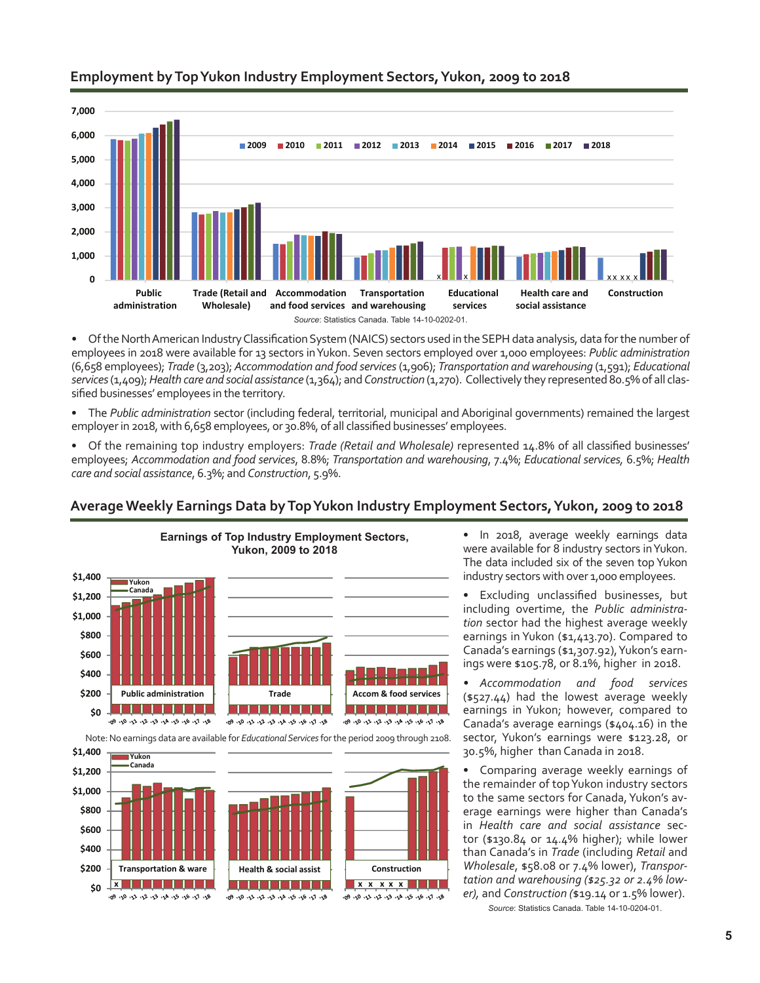

# **Employment by Top Yukon Industry Employment Sectors, Yukon, 2009 to 2018**

• Of the North American Industry Classification System (NAICS) sectors used in the SEPH data analysis, data for the number of employees in 2018 were available for 13 sectors in Yukon. Seven sectors employed over 1,000 employees: *Public administration* (6,658 employees); *Trade* (3,203); *Accommodation and food services*(1,906); *Transportation and warehousing* (1,591); *Educational services* (1,409); *Health care and social assistance* (1,364); and *Construction* (1,270). Collectively they represented 80.5% of all classified businesses' employees in the territory.

The *Public administration* sector (including federal, territorial, municipal and Aboriginal governments) remained the largest employerin 2018, with 6,658 employees, or 30.8%, of all classified businesses' employees.

• Of the remaining top industry employers: *Trade (Retail and Wholesale)* represented 14.8% of all classified businesses' employees; *Accommodation and food services*, 8.8%; *Transportation and warehousing*, 7.4%; *Educational services,* 6.5%; *Health care and social assistance*, 6.3%; and *Construction*, 5.9%.

#### **Earnings of Top Industry Employment Sectors, Yukon, 2009 to 2018 \$1,400 Yukon Canada \$1,200 \$1,000 \$800 \$600 \$400 \$200 Public administration Accom & food services** de la la la la la la la l <u>ta a ser ser a</u> <u> Literatur Lite</u> **\$0 800 PM BM BM APM SPM SPM BM BM** 109 110 112 12 13 14 15 16 17 18 Por Dr. 92 - 12 - 13 - 14 - 15 - 16 - 17 - 18 Note: No earnings data are available for *EducationalServices* for the period 2009 through 2108.

# **Average Weekly Earnings Data by Top Yukon Industry Employment Sectors, Yukon, 2009 to 2018**



In 2018, average weekly earnings data were available for 8 industry sectors in Yukon. The data included six of the seven top Yukon industry sectors with over 1,000 employees.

Excluding unclassified businesses, but including overtime, the *Public administration* sector had the highest average weekly earnings in Yukon (\$1,413.70). Compared to Canada's earnings (\$1,307.92), Yukon's earnings were \$105.78, or 8.1%, higher in 2018.

*• Accommodation and food services* (\$527.44) had the lowest average weekly earnings in Yukon; however, compared to Canada's average earnings (\$404.16) in the sector, Yukon's earnings were \$123.28, or 30.5%, higher than Canada in 2018.

Comparing average weekly earnings of the remainder of top Yukon industry sectors to the same sectors for Canada, Yukon's average earnings were higher than Canada's in *Health care and social assistance* sector (\$130.84 or 14.4% higher); while lower than Canada's in *Trade* (including *Retail* and *Wholesale*, \$58.08 or 7.4% lower), *Transportation and warehousing (\$25.32 or 2.4% lower),* and *Construction (*\$19.14 or 1.5% lower).

*Source*: Statistics Canada. Table 14-10-0204-01.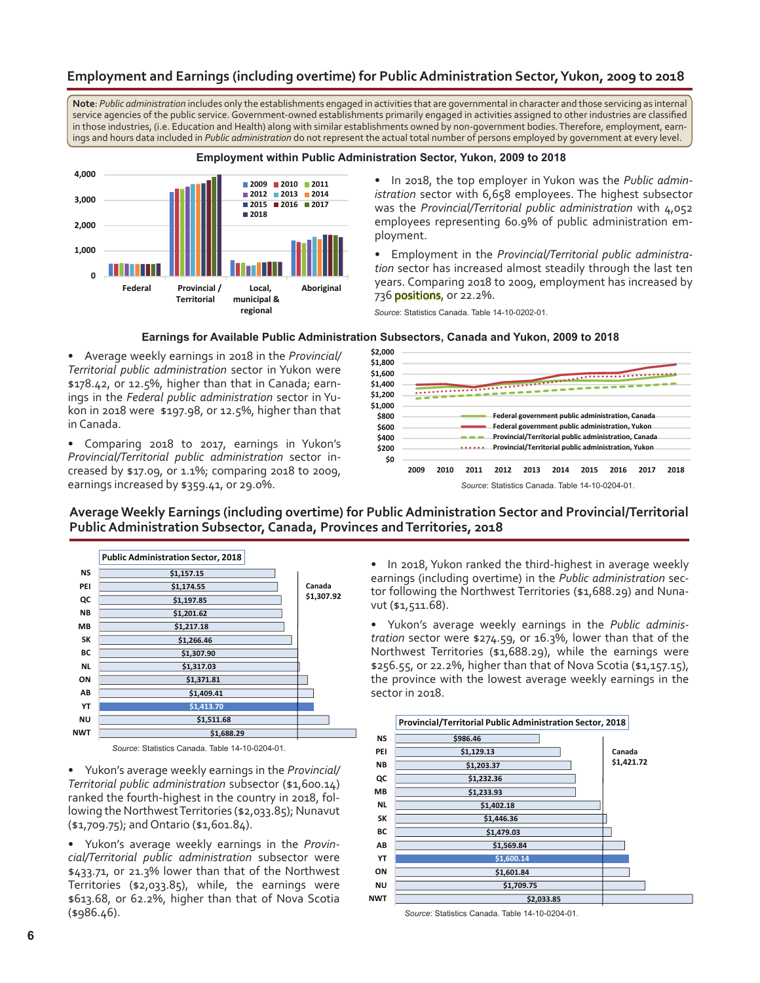# **Employment and Earnings (including overtime) for Public Administration Sector, Yukon, 2009 to 2018**

**Note**: *Public administration* includes only the establishments engaged in activities that are governmental in character and those servicing as internal service agencies of the public service. Government-owned establishments primarily engaged in activities assigned to other industries are classified in those industries, (i.e. Education and Health) along with similar establishments owned by non-government bodies. Therefore, employment, earnings and hours data included in *Public administration* do not represent the actual total number of persons employed by government at every level.



#### **Employment within Public Administration Sector, Yukon, 2009 to 2018**

• In 2018, the top employer in Yukon was the *Public administration* sector with 6,658 employees. The highest subsector was the *Provincial/Territorial public administration* with 4,052 employees representing 60.9% of public administration employment.

• Employment in the *Provincial/Territorial public administration* sector has increased almost steadily through the last ten years. Comparing 2018 to 2009, employment has increased by 736 positions, or 22.2%.

*Source*: Statistics Canada. Table 14-10-0202-01.

#### **Earnings for Available Public Administration Subsectors, Canada and Yukon, 2009 to 2018**

• Average weekly earnings in 2018 in the *Provincial/ Territorial public administration* sector in Yukon were \$178.42, or 12.5%, higher than that in Canada; earnings in the *Federal public administration* sector in Yukon in 2018 were \$197.98, or 12.5%, higher than that in Canada.

• Comparing 2018 to 2017, earnings in Yukon's *Provincial/Territorial public administration* sector increased by \$17.09, or 1.1%; comparing 2018 to 2009, earnings increased by \$359.41, or 29.0%.



#### **Average Weekly Earnings (including overtime) for Public Administration Sector and Provincial/Territorial Public Administration Subsector, Canada, Provinces and Territories, 2018**



*Source*: Statistics Canada. Table 14-10-0204-01.

• Yukon's average weekly earnings in the *Provincial/ Territorial public administration* subsector (\$1,600.14) ranked the fourth-highest in the country in 2018, following the Northwest Territories (\$2,033.85); Nunavut (\$1,709.75); and Ontario (\$1,601.84).

• Yukon's average weekly earnings in the *Provincial/Territorial public administration* subsector were \$433.71, or 21.3% lower than that of the Northwest Territories (\$2,033.85), while, the earnings were \$613.68, or 62.2%, higher than that of Nova Scotia (\$986.46).

• In 2018, Yukon ranked the third-highest in average weekly earnings (including overtime) in the *Public administration* sector following the Northwest Territories (\$1,688.29) and Nunavut (\$1,511.68).

• Yukon's average weekly earnings in the *Public administration* sector were \$274.59, or 16.3%, lower than that of the Northwest Territories (\$1,688.29), while the earnings were \$256.55, or 22.2%, higher than that of Nova Scotia (\$1,157.15), the province with the lowest average weekly earnings in the sector in 2018.



*Source*: Statistics Canada. Table 14-10-0204-01.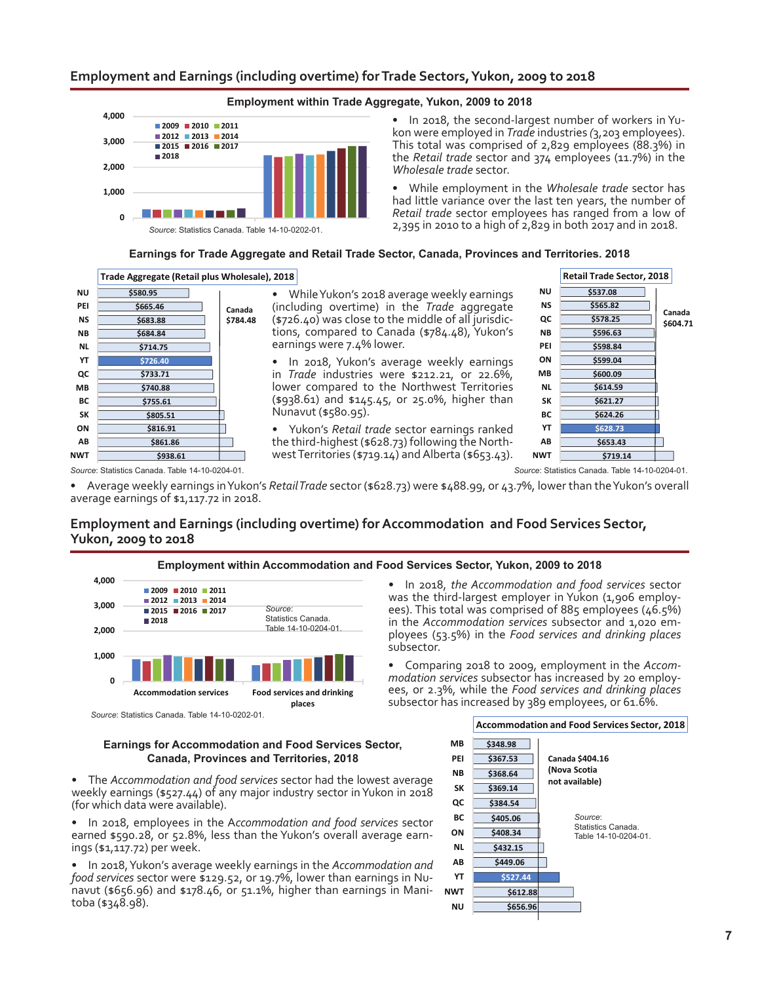#### **Employment and Earnings (including overtime) for Trade Sectors, Yukon, 2009 to 2018**



• In 2018, the second-largest number of workers in Yukon were employed in *Trade* industries *(*3,203 employees). This total was comprised of 2,829 employees (88.3%) in the *Retail trade* sector and 374 employees (11.7%) in the *Wholesale trade* sector.

• While employment in the *Wholesale trade* sector has had little variance over the last ten years, the number of *Retail trade* sector employees has ranged from a low of 2,395 in 2010 to a high of 2,829 in both 2017 and in 2018.

#### **Earnings for Trade Aggregate and Retail Trade Sector, Canada, Provinces and Territories, 2018**



While Yukon's 2018 average weekly earnings (including overtime) in the *Trade* aggregate  $(*726.40)$  was close to the middle of all jurisdictions, compared to Canada (\$784.48), Yukon's earnings were 7.4% lower.

• In 2018, Yukon's average weekly earnings in *Trade* industries were \$212.21, or 22.6%, lower compared to the Northwest Territories (\$938.61) and \$145.45, or 25.0%, higher than Nunavut (\$580.95).

Yukon's *Retail trade* sector earnings ranked the third-highest (\$628.73) following the North-<br>west Territories (\$719.14) and Alberta (\$653.43).



*Source*: Statistics Canada. Table 14-10-0204-01. *Source*: Statistics Canada. Table 14-10-0204-01.

Average weekly earnings in Yukon's *RetailTrade* sector (\$628.73) were \$488.99, or 43.7%, lower than the Yukon's overall average earnings of \$1,117.72 in 2018.

### **Employment and Earnings (including overtime) for Accommodation and Food Services Sector, Yukon, 2009 to 2018**



#### **Earnings for Accommodation and Food Services Sector, Canada, Provinces and Territories, 2018**

The *Accommodation and food services* sector had the lowest average weekly earnings (\$527.44) of any major industry sector in Yukon in 2018 (for which data were available).

In 2018, employees in the Accommodation and food services sector earned \$590.28, or 52.8%, less than the Yukon's overall average earnings (\$1,117.72) per week.

• In 2018, Yukon's average weekly earnings in the *Accommodation and food services* sector were \$129.52, or 19.7%, lower than earnings in Nunavut (\$656.96) and \$178.46, or 51.1%, higher than earnings in Mani-<br>toba (\$348.98).



#### **Employment within Accommodation and Food Services Sector, Yukon, 2009 to 2018**

• In 2018, *the Accommodation and food services* sector was the third-largest employer in Yukon (1,906 employees). This total was comprised of 885 employees (46.5%) in the *Accommodation services* subsector and 1,020 employees (53.5%) in the *Food services and drinking places* subsector.

Comparing 2018 to 2009, employment in the *Accommodation services* subsector has increased by 20 employees, or 2.3%, while the *Food services and drinking places* subsector has increased by 389 employees, or 61.6%.